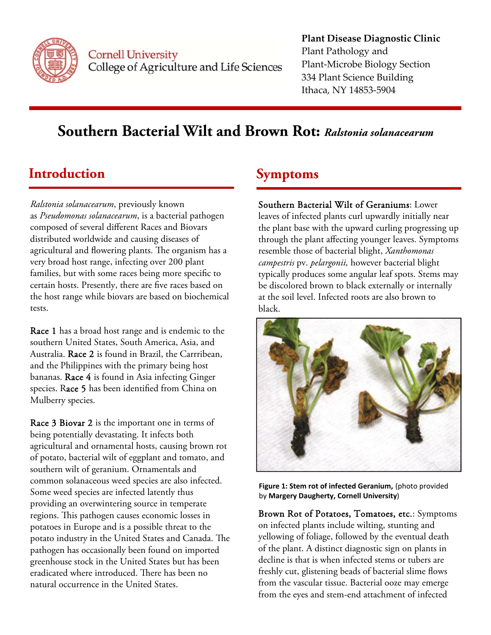

**Cornell University** College of Agriculture and Life Sciences

### **Plant Disease Diagnostic Clinic** Plant Pathology and Plant‐Microbe Biology Section 334 Plant Science Building Ithaca, NY 14853‐5904

# **Southern Bacterial Wilt and Brown Rot:** *Ralstonia solanacearum*

## **Introduction Symptoms**

*Ralstonia solanacearum*, previously known as *Pseudomonas solanacearum*, is a bacterial pathogen composed of several different Races and Biovars distributed worldwide and causing diseases of agricultural and flowering plants. The organism has a very broad host range, infecting over 200 plant families, but with some races being more specific to certain hosts. Presently, there are five races based on the host range while biovars are based on biochemical tests.

Race 1 has a broad host range and is endemic to the southern United States, South America, Asia, and Australia. Race 2 is found in Brazil, the Carrribean, and the Philippines with the primary being host bananas. Race 4 is found in Asia infecting Ginger species. Race 5 has been identified from China on Mulberry species.

Race 3 Biovar 2 is the important one in terms of being potentially devastating. It infects both agricultural and ornamental hosts, causing brown rot of potato, bacterial wilt of eggplant and tomato, and southern wilt of geranium. Ornamentals and common solanaceous weed species are also infected. Some weed species are infected latently thus providing an overwintering source in temperate regions. This pathogen causes economic losses in potatoes in Europe and is a possible threat to the potato industry in the United States and Canada. The pathogen has occasionally been found on imported greenhouse stock in the United States but has been eradicated where introduced. There has been no natural occurrence in the United States.

Southern Bacterial Wilt of Geraniums: Lower leaves of infected plants curl upwardly initially near the plant base with the upward curling progressing up through the plant affecting younger leaves. Symptoms resemble those of bacterial blight, *Xanthomonas campestris* pv. *pelargonii,* however bacterial blight typically produces some angular leaf spots. Stems may be discolored brown to black externally or internally at the soil level. Infected roots are also brown to black.



**Figure 1: Stem rot of infected Geranium,** (photo provided by **Margery Daugherty, Cornell University**)

Brown Rot of Potatoes, Tomatoes, etc.: Symptoms on infected plants include wilting, stunting and yellowing of foliage, followed by the eventual death of the plant. A distinct diagnostic sign on plants in decline is that is when infected stems or tubers are freshly cut, glistening beads of bacterial slime flows from the vascular tissue. Bacterial ooze may emerge from the eyes and stem-end attachment of infected